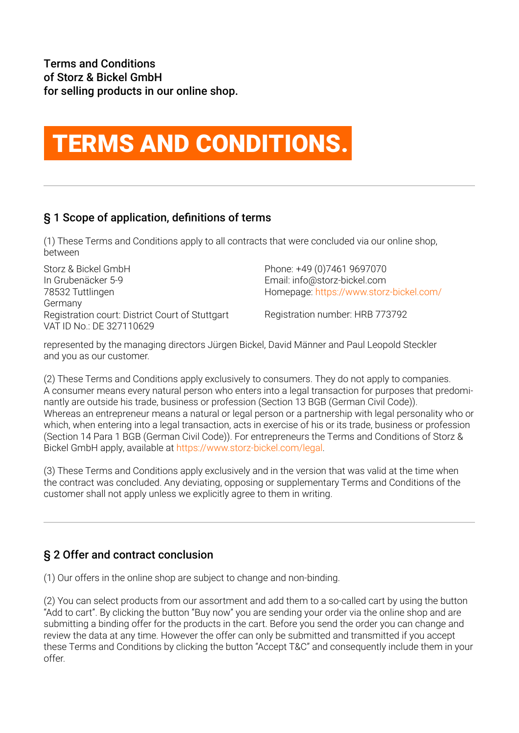# TERMS AND CONDITIONS.

# § 1 Scope of application, definitions of terms

(1) These Terms and Conditions apply to all contracts that were concluded via our online shop, between

Storz & Bickel GmbH In Grubenäcker 5-9 78532 Tuttlingen Germany Registration court: District Court of Stuttgart VAT ID No.: DE 327110629

Phone: +49 (0)7461 9697070 Email: info@storz-bickel.com Homepage: https://www.storz-bickel.com/

Registration number: HRB 773792

represented by the managing directors Jürgen Bickel, David Männer and Paul Leopold Steckler and you as our customer.

(2) These Terms and Conditions apply exclusively to consumers. They do not apply to companies. A consumer means every natural person who enters into a legal transaction for purposes that predominantly are outside his trade, business or profession (Section 13 BGB (German Civil Code)). Whereas an entrepreneur means a natural or legal person or a partnership with legal personality who or which, when entering into a legal transaction, acts in exercise of his or its trade, business or profession (Section 14 Para 1 BGB (German Civil Code)). For entrepreneurs the Terms and Conditions of Storz & Bickel GmbH apply, available at https://www.storz-bickel.com/legal.

(3) These Terms and Conditions apply exclusively and in the version that was valid at the time when the contract was concluded. Any deviating, opposing or supplementary Terms and Conditions of the customer shall not apply unless we explicitly agree to them in writing.

# § 2 Offer and contract conclusion

(1) Our offers in the online shop are subject to change and non-binding.

(2) You can select products from our assortment and add them to a so-called cart by using the button "Add to cart". By clicking the button "Buy now" you are sending your order via the online shop and are submitting a binding offer for the products in the cart. Before you send the order you can change and review the data at any time. However the offer can only be submitted and transmitted if you accept these Terms and Conditions by clicking the button "Accept T&C" and consequently include them in your offer.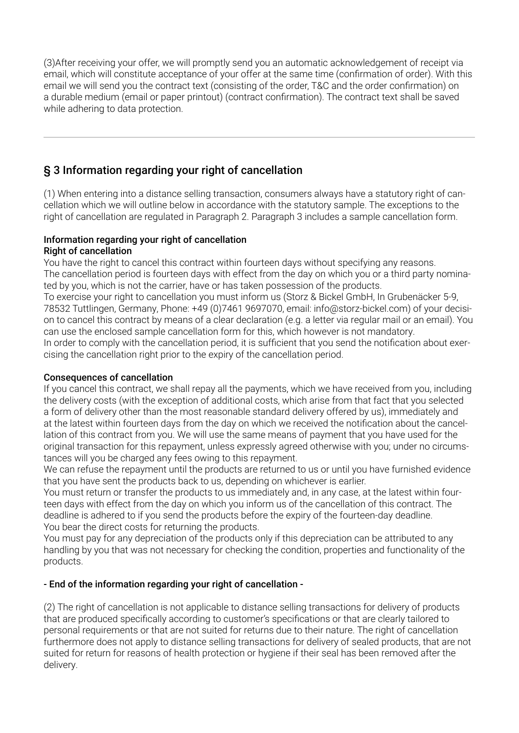(3)After receiving your offer, we will promptly send you an automatic acknowledgement of receipt via email, which will constitute acceptance of your offer at the same time (confirmation of order). With this email we will send you the contract text (consisting of the order, T&C and the order confirmation) on a durable medium (email or paper printout) (contract confirmation). The contract text shall be saved while adhering to data protection.

# § 3 Information regarding your right of cancellation

(1) When entering into a distance selling transaction, consumers always have a statutory right of cancellation which we will outline below in accordance with the statutory sample. The exceptions to the right of cancellation are regulated in Paragraph 2. Paragraph 3 includes a sample cancellation form.

#### Information regarding your right of cancellation Right of cancellation

You have the right to cancel this contract within fourteen days without specifying any reasons. The cancellation period is fourteen days with effect from the day on which you or a third party nominated by you, which is not the carrier, have or has taken possession of the products. To exercise your right to cancellation you must inform us (Storz & Bickel GmbH, In Grubenäcker 5-9, 78532 Tuttlingen, Germany, Phone: +49 (0)7461 9697070, email: info@storz-bickel.com) of your decision to cancel this contract by means of a clear declaration (e.g. a letter via regular mail or an email). You can use the enclosed sample cancellation form for this, which however is not mandatory. In order to comply with the cancellation period, it is sufficient that you send the notification about exercising the cancellation right prior to the expiry of the cancellation period.

#### Consequences of cancellation

If you cancel this contract, we shall repay all the payments, which we have received from you, including the delivery costs (with the exception of additional costs, which arise from that fact that you selected a form of delivery other than the most reasonable standard delivery offered by us), immediately and at the latest within fourteen days from the day on which we received the notification about the cancellation of this contract from you. We will use the same means of payment that you have used for the original transaction for this repayment, unless expressly agreed otherwise with you; under no circumstances will you be charged any fees owing to this repayment.

We can refuse the repayment until the products are returned to us or until you have furnished evidence that you have sent the products back to us, depending on whichever is earlier.

You must return or transfer the products to us immediately and, in any case, at the latest within fourteen days with effect from the day on which you inform us of the cancellation of this contract. The deadline is adhered to if you send the products before the expiry of the fourteen-day deadline. You bear the direct costs for returning the products.

You must pay for any depreciation of the products only if this depreciation can be attributed to any handling by you that was not necessary for checking the condition, properties and functionality of the products.

#### - End of the information regarding your right of cancellation -

(2) The right of cancellation is not applicable to distance selling transactions for delivery of products that are produced specifically according to customer's specifications or that are clearly tailored to personal requirements or that are not suited for returns due to their nature. The right of cancellation furthermore does not apply to distance selling transactions for delivery of sealed products, that are not suited for return for reasons of health protection or hygiene if their seal has been removed after the delivery.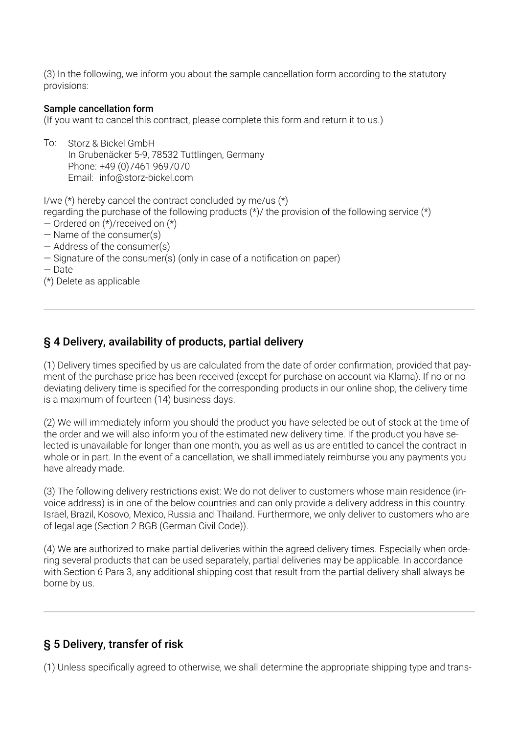(3) In the following, we inform you about the sample cancellation form according to the statutory provisions:

#### Sample cancellation form

(If you want to cancel this contract, please complete this form and return it to us.)

To: Storz & Bickel GmbH In Grubenäcker 5-9, 78532 Tuttlingen, Germany Phone: +49 (0)7461 9697070 Email: info@storz-bickel.com

I/we (\*) hereby cancel the contract concluded by me/us (\*)

regarding the purchase of the following products (\*)/ the provision of the following service (\*)

- Ordered on (\*)/received on (\*)
- Name of the consumer(s)
- Address of the consumer(s)
- Signature of the consumer(s) (only in case of a notification on paper)
- Date

(\*) Delete as applicable

### § 4 Delivery, availability of products, partial delivery

(1) Delivery times specified by us are calculated from the date of order confirmation, provided that payment of the purchase price has been received (except for purchase on account via Klarna). If no or no deviating delivery time is specified for the corresponding products in our online shop, the delivery time is a maximum of fourteen (14) business days.

(2) We will immediately inform you should the product you have selected be out of stock at the time of the order and we will also inform you of the estimated new delivery time. If the product you have selected is unavailable for longer than one month, you as well as us are entitled to cancel the contract in whole or in part. In the event of a cancellation, we shall immediately reimburse you any payments you have already made.

(3) The following delivery restrictions exist: We do not deliver to customers whose main residence (invoice address) is in one of the below countries and can only provide a delivery address in this country. Israel, Brazil, Kosovo, Mexico, Russia and Thailand. Furthermore, we only deliver to customers who are of legal age (Section 2 BGB (German Civil Code)).

(4) We are authorized to make partial deliveries within the agreed delivery times. Especially when ordering several products that can be used separately, partial deliveries may be applicable. In accordance with Section 6 Para 3, any additional shipping cost that result from the partial delivery shall always be borne by us.

### § 5 Delivery, transfer of risk

(1) Unless specifically agreed to otherwise, we shall determine the appropriate shipping type and trans-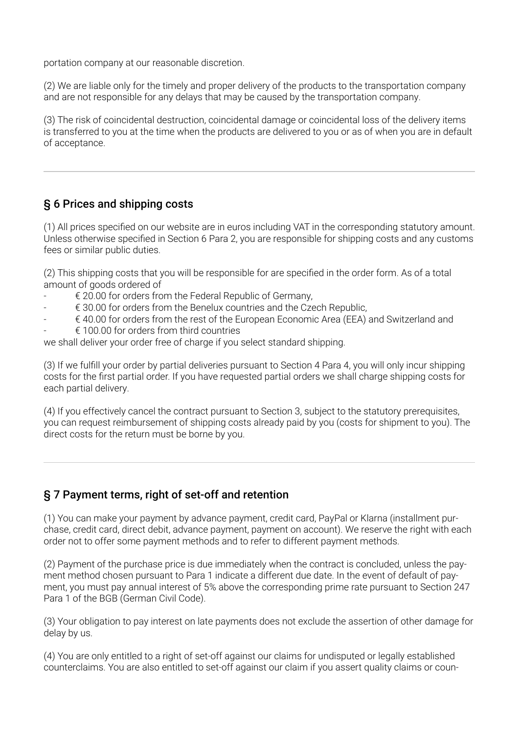portation company at our reasonable discretion.

(2) We are liable only for the timely and proper delivery of the products to the transportation company and are not responsible for any delays that may be caused by the transportation company.

(3) The risk of coincidental destruction, coincidental damage or coincidental loss of the delivery items is transferred to you at the time when the products are delivered to you or as of when you are in default of acceptance.

# § 6 Prices and shipping costs

(1) All prices specified on our website are in euros including VAT in the corresponding statutory amount. Unless otherwise specified in Section 6 Para 2, you are responsible for shipping costs and any customs fees or similar public duties.

(2) This shipping costs that you will be responsible for are specified in the order form. As of a total amount of goods ordered of

- $\epsilon$  20.00 for orders from the Federal Republic of Germany,
- $\epsilon$  30.00 for orders from the Benelux countries and the Czech Republic,
- € 40.00 for orders from the rest of the European Economic Area (EEA) and Switzerland and
- $\epsilon$  100.00 for orders from third countries

we shall deliver your order free of charge if you select standard shipping.

(3) If we fulfill your order by partial deliveries pursuant to Section 4 Para 4, you will only incur shipping costs for the first partial order. If you have requested partial orders we shall charge shipping costs for each partial delivery.

(4) If you effectively cancel the contract pursuant to Section 3, subject to the statutory prerequisites, you can request reimbursement of shipping costs already paid by you (costs for shipment to you). The direct costs for the return must be borne by you.

# § 7 Payment terms, right of set-off and retention

(1) You can make your payment by advance payment, credit card, PayPal or Klarna (installment purchase, credit card, direct debit, advance payment, payment on account). We reserve the right with each order not to offer some payment methods and to refer to different payment methods.

(2) Payment of the purchase price is due immediately when the contract is concluded, unless the payment method chosen pursuant to Para 1 indicate a different due date. In the event of default of payment, you must pay annual interest of 5% above the corresponding prime rate pursuant to Section 247 Para 1 of the BGB (German Civil Code).

(3) Your obligation to pay interest on late payments does not exclude the assertion of other damage for delay by us.

(4) You are only entitled to a right of set-off against our claims for undisputed or legally established counterclaims. You are also entitled to set-off against our claim if you assert quality claims or coun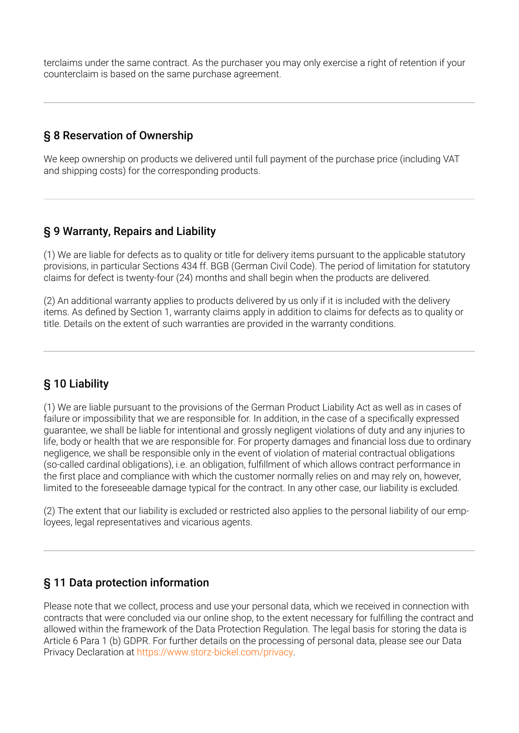terclaims under the same contract. As the purchaser you may only exercise a right of retention if your counterclaim is based on the same purchase agreement.

## § 8 Reservation of Ownership

We keep ownership on products we delivered until full payment of the purchase price (including VAT and shipping costs) for the corresponding products.

## § 9 Warranty, Repairs and Liability

(1) We are liable for defects as to quality or title for delivery items pursuant to the applicable statutory provisions, in particular Sections 434 ff. BGB (German Civil Code). The period of limitation for statutory claims for defect is twenty-four (24) months and shall begin when the products are delivered.

(2) An additional warranty applies to products delivered by us only if it is included with the delivery items. As defined by Section 1, warranty claims apply in addition to claims for defects as to quality or title. Details on the extent of such warranties are provided in the warranty conditions.

# § 10 Liability

(1) We are liable pursuant to the provisions of the German Product Liability Act as well as in cases of failure or impossibility that we are responsible for. In addition, in the case of a specifically expressed guarantee, we shall be liable for intentional and grossly negligent violations of duty and any injuries to life, body or health that we are responsible for. For property damages and financial loss due to ordinary negligence, we shall be responsible only in the event of violation of material contractual obligations (so-called cardinal obligations), i.e. an obligation, fulfillment of which allows contract performance in the first place and compliance with which the customer normally relies on and may rely on, however, limited to the foreseeable damage typical for the contract. In any other case, our liability is excluded.

(2) The extent that our liability is excluded or restricted also applies to the personal liability of our employees, legal representatives and vicarious agents.

### § 11 Data protection information

Please note that we collect, process and use your personal data, which we received in connection with contracts that were concluded via our online shop, to the extent necessary for fulfilling the contract and allowed within the framework of the Data Protection Regulation. The legal basis for storing the data is Article 6 Para 1 (b) GDPR. For further details on the processing of personal data, please see our Data Privacy Declaration at https://www.storz-bickel.com/privacy.